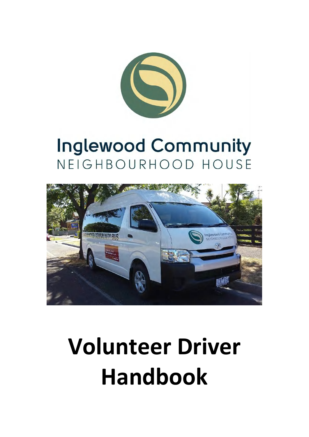

## **Inglewood Community** NEIGHBOURHOOD HOUSE



# **Volunteer Driver Handbook**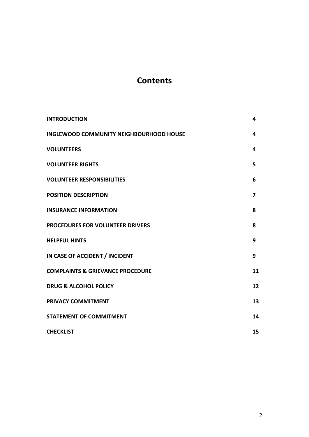## **Contents**

| <b>INTRODUCTION</b>                            | 4  |
|------------------------------------------------|----|
| <b>INGLEWOOD COMMUNITY NEIGHBOURHOOD HOUSE</b> | 4  |
| <b>VOLUNTEERS</b>                              | 4  |
| <b>VOLUNTEER RIGHTS</b>                        | 5  |
| <b>VOLUNTEER RESPONSIBILITIES</b>              | 6  |
| <b>POSITION DESCRIPTION</b>                    | 7  |
| <b>INSURANCE INFORMATION</b>                   | 8  |
| PROCEDURES FOR VOLUNTEER DRIVERS               | 8  |
| <b>HELPFUL HINTS</b>                           | 9  |
| IN CASE OF ACCIDENT / INCIDENT                 | 9  |
| <b>COMPLAINTS &amp; GRIEVANCE PROCEDURE</b>    | 11 |
| <b>DRUG &amp; ALCOHOL POLICY</b>               | 12 |
| <b>PRIVACY COMMITMENT</b>                      | 13 |
| <b>STATEMENT OF COMMITMENT</b>                 | 14 |
| <b>CHECKLIST</b>                               | 15 |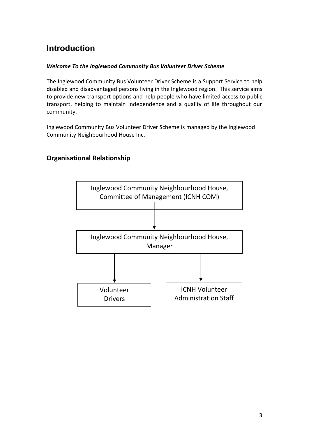## **Introduction**

#### *Welcome To the Inglewood Community Bus Volunteer Driver Scheme*

The Inglewood Community Bus Volunteer Driver Scheme is a Support Service to help disabled and disadvantaged persons living in the Inglewood region. This service aims to provide new transport options and help people who have limited access to public transport, helping to maintain independence and a quality of life throughout our community.

Inglewood Community Bus Volunteer Driver Scheme is managed by the Inglewood Community Neighbourhood House Inc.

#### **Organisational Relationship**

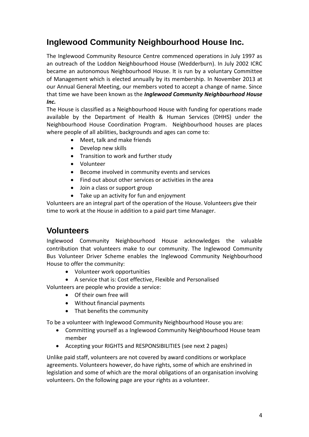## **Inglewood Community Neighbourhood House Inc.**

The Inglewood Community Resource Centre commenced operations in July 1997 as an outreach of the Loddon Neighbourhood House (Wedderburn). In July 2002 ICRC became an autonomous Neighbourhood House. It is run by a voluntary Committee of Management which is elected annually by its membership. In November 2013 at our Annual General Meeting, our members voted to accept a change of name. Since that time we have been known as the *Inglewood Community Neighbourhood House Inc.* 

The House is classified as a Neighbourhood House with funding for operations made available by the Department of Health & Human Services (DHHS) under the Neighbourhood House Coordination Program. Neighbourhood houses are places where people of all abilities, backgrounds and ages can come to:

- Meet, talk and make friends
- Develop new skills
- Transition to work and further study
- Volunteer
- Become involved in community events and services
- Find out about other services or activities in the area
- Join a class or support group
- Take up an activity for fun and enjoyment

Volunteers are an integral part of the operation of the House. Volunteers give their time to work at the House in addition to a paid part time Manager.

### **Volunteers**

Inglewood Community Neighbourhood House acknowledges the valuable contribution that volunteers make to our community. The Inglewood Community Bus Volunteer Driver Scheme enables the Inglewood Community Neighbourhood House to offer the community:

- Volunteer work opportunities
- A service that is: Cost effective, Flexible and Personalised

Volunteers are people who provide a service:

- Of their own free will
- Without financial payments
- That benefits the community

To be a volunteer with Inglewood Community Neighbourhood House you are:

- Committing yourself as a Inglewood Community Neighbourhood House team member
- Accepting your RIGHTS and RESPONSIBILITIES (see next 2 pages)

Unlike paid staff, volunteers are not covered by award conditions or workplace agreements. Volunteers however, do have rights, some of which are enshrined in legislation and some of which are the moral obligations of an organisation involving volunteers. On the following page are your rights as a volunteer.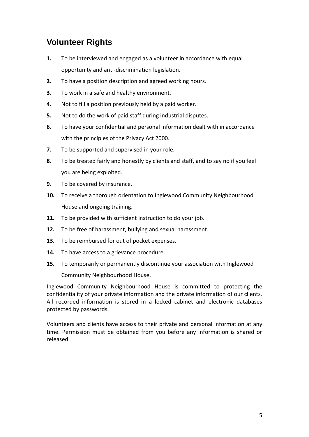## **Volunteer Rights**

- **1.** To be interviewed and engaged as a volunteer in accordance with equal opportunity and anti-discrimination legislation.
- **2.** To have a position description and agreed working hours.
- **3.** To work in a safe and healthy environment.
- **4.** Not to fill a position previously held by a paid worker.
- **5.** Not to do the work of paid staff during industrial disputes.
- **6.** To have your confidential and personal information dealt with in accordance with the principles of the Privacy Act 2000.
- **7.** To be supported and supervised in your role.
- **8.** To be treated fairly and honestly by clients and staff, and to say no if you feel you are being exploited.
- **9.** To be covered by insurance.
- **10.** To receive a thorough orientation to Inglewood Community Neighbourhood House and ongoing training.
- **11.** To be provided with sufficient instruction to do your job.
- **12.** To be free of harassment, bullying and sexual harassment.
- **13.** To be reimbursed for out of pocket expenses.
- **14.** To have access to a grievance procedure.
- **15.** To temporarily or permanently discontinue your association with Inglewood Community Neighbourhood House.

Inglewood Community Neighbourhood House is committed to protecting the confidentiality of your private information and the private information of our clients. All recorded information is stored in a locked cabinet and electronic databases protected by passwords.

Volunteers and clients have access to their private and personal information at any time. Permission must be obtained from you before any information is shared or released.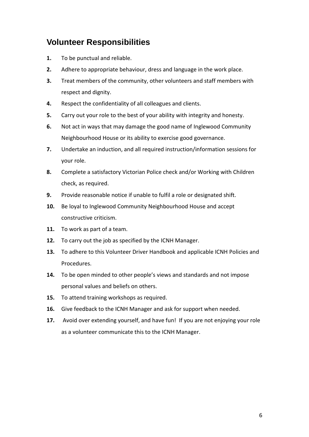## **Volunteer Responsibilities**

- **1.** To be punctual and reliable.
- **2.** Adhere to appropriate behaviour, dress and language in the work place.
- **3.** Treat members of the community, other volunteers and staff members with respect and dignity.
- **4.** Respect the confidentiality of all colleagues and clients.
- **5.** Carry out your role to the best of your ability with integrity and honesty.
- **6.** Not act in ways that may damage the good name of Inglewood Community Neighbourhood House or its ability to exercise good governance.
- **7.** Undertake an induction, and all required instruction/information sessions for your role.
- **8.** Complete a satisfactory Victorian Police check and/or Working with Children check, as required.
- **9.** Provide reasonable notice if unable to fulfil a role or designated shift.
- **10.** Be loyal to Inglewood Community Neighbourhood House and accept constructive criticism.
- **11.** To work as part of a team.
- **12.** To carry out the job as specified by the ICNH Manager.
- **13.** To adhere to this Volunteer Driver Handbook and applicable ICNH Policies and Procedures.
- **14.** To be open minded to other people's views and standards and not impose personal values and beliefs on others.
- **15.** To attend training workshops as required.
- **16.** Give feedback to the ICNH Manager and ask for support when needed.
- **17.** Avoid over extending yourself, and have fun! If you are not enjoying your role as a volunteer communicate this to the ICNH Manager.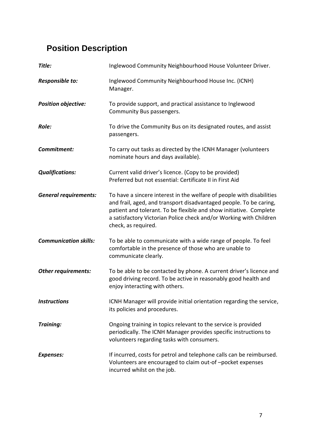## **Position Description**

| Title:                       | Inglewood Community Neighbourhood House Volunteer Driver.                                                                                                                                                                                                                                                      |
|------------------------------|----------------------------------------------------------------------------------------------------------------------------------------------------------------------------------------------------------------------------------------------------------------------------------------------------------------|
| Responsible to:              | Inglewood Community Neighbourhood House Inc. (ICNH)<br>Manager.                                                                                                                                                                                                                                                |
| <b>Position objective:</b>   | To provide support, and practical assistance to Inglewood<br>Community Bus passengers.                                                                                                                                                                                                                         |
| Role:                        | To drive the Community Bus on its designated routes, and assist<br>passengers.                                                                                                                                                                                                                                 |
| Commitment:                  | To carry out tasks as directed by the ICNH Manager (volunteers<br>nominate hours and days available).                                                                                                                                                                                                          |
| <b>Qualifications:</b>       | Current valid driver's licence. (Copy to be provided)<br>Preferred but not essential: Certificate II in First Aid                                                                                                                                                                                              |
| <b>General requirements:</b> | To have a sincere interest in the welfare of people with disabilities<br>and frail, aged, and transport disadvantaged people. To be caring,<br>patient and tolerant. To be flexible and show initiative. Complete<br>a satisfactory Victorian Police check and/or Working with Children<br>check, as required. |
| <b>Communication skills:</b> | To be able to communicate with a wide range of people. To feel<br>comfortable in the presence of those who are unable to<br>communicate clearly.                                                                                                                                                               |
| Other requirements:          | To be able to be contacted by phone. A current driver's licence and<br>good driving record. To be active in reasonably good health and<br>enjoy interacting with others.                                                                                                                                       |
| <b>Instructions</b>          | ICNH Manager will provide initial orientation regarding the service,<br>its policies and procedures.                                                                                                                                                                                                           |
| Training:                    | Ongoing training in topics relevant to the service is provided<br>periodically. The ICNH Manager provides specific instructions to<br>volunteers regarding tasks with consumers.                                                                                                                               |
| <b>Expenses:</b>             | If incurred, costs for petrol and telephone calls can be reimbursed.<br>Volunteers are encouraged to claim out-of-pocket expenses<br>incurred whilst on the job.                                                                                                                                               |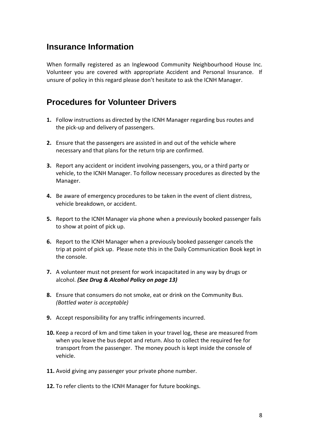## **Insurance Information**

When formally registered as an Inglewood Community Neighbourhood House Inc. Volunteer you are covered with appropriate Accident and Personal Insurance. If unsure of policy in this regard please don't hesitate to ask the ICNH Manager.

## **Procedures for Volunteer Drivers**

- **1.** Follow instructions as directed by the ICNH Manager regarding bus routes and the pick-up and delivery of passengers.
- **2.** Ensure that the passengers are assisted in and out of the vehicle where necessary and that plans for the return trip are confirmed.
- **3.** Report any accident or incident involving passengers, you, or a third party or vehicle, to the ICNH Manager. To follow necessary procedures as directed by the Manager.
- **4.** Be aware of emergency procedures to be taken in the event of client distress, vehicle breakdown, or accident.
- **5.** Report to the ICNH Manager via phone when a previously booked passenger fails to show at point of pick up.
- **6.** Report to the ICNH Manager when a previously booked passenger cancels the trip at point of pick up. Please note this in the Daily Communication Book kept in the console.
- **7.** A volunteer must not present for work incapacitated in any way by drugs or alcohol. *(See Drug & Alcohol Policy on page 13)*
- **8.** Ensure that consumers do not smoke, eat or drink on the Community Bus. *(Bottled water is acceptable)*
- **9.** Accept responsibility for any traffic infringements incurred.
- **10.** Keep a record of km and time taken in your travel log, these are measured from when you leave the bus depot and return. Also to collect the required fee for transport from the passenger. The money pouch is kept inside the console of vehicle.
- **11.** Avoid giving any passenger your private phone number.
- **12.** To refer clients to the ICNH Manager for future bookings.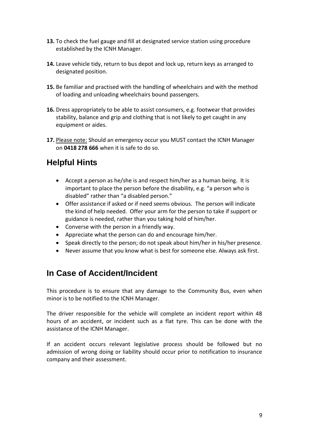- **13.** To check the fuel gauge and fill at designated service station using procedure established by the ICNH Manager.
- **14.** Leave vehicle tidy, return to bus depot and lock up, return keys as arranged to designated position.
- **15.** Be familiar and practised with the handling of wheelchairs and with the method of loading and unloading wheelchairs bound passengers.
- **16.** Dress appropriately to be able to assist consumers, e.g. footwear that provides stability, balance and grip and clothing that is not likely to get caught in any equipment or aides.
- **17.** Please note: Should an emergency occur you MUST contact the ICNH Manager on **0418 278 666** when it is safe to do so.

## **Helpful Hints**

- Accept a person as he/she is and respect him/her as a human being. It is important to place the person before the disability, e.g. "a person who is disabled" rather than "a disabled person."
- Offer assistance if asked or if need seems obvious. The person will indicate the kind of help needed. Offer your arm for the person to take if support or guidance is needed, rather than you taking hold of him/her.
- Converse with the person in a friendly way.
- Appreciate what the person can do and encourage him/her.
- Speak directly to the person; do not speak about him/her in his/her presence.
- Never assume that you know what is best for someone else. Always ask first.

## **In Case of Accident/Incident**

This procedure is to ensure that any damage to the Community Bus, even when minor is to be notified to the ICNH Manager.

The driver responsible for the vehicle will complete an incident report within 48 hours of an accident, or incident such as a flat tyre. This can be done with the assistance of the ICNH Manager.

If an accident occurs relevant legislative process should be followed but no admission of wrong doing or liability should occur prior to notification to insurance company and their assessment.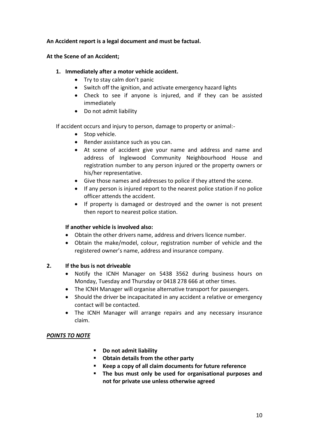#### **An Accident report is a legal document and must be factual.**

#### **At the Scene of an Accident;**

#### **1. Immediately after a motor vehicle accident.**

- Try to stay calm don't panic
- Switch off the ignition, and activate emergency hazard lights
- Check to see if anyone is injured, and if they can be assisted immediately
- Do not admit liability

If accident occurs and injury to person, damage to property or animal:-

- Stop vehicle.
- Render assistance such as you can.
- At scene of accident give your name and address and name and address of Inglewood Community Neighbourhood House and registration number to any person injured or the property owners or his/her representative.
- Give those names and addresses to police if they attend the scene.
- If any person is injured report to the nearest police station if no police officer attends the accident.
- If property is damaged or destroyed and the owner is not present then report to nearest police station.

#### **If another vehicle is involved also:**

- Obtain the other drivers name, address and drivers licence number.
- Obtain the make/model, colour, registration number of vehicle and the registered owner's name, address and insurance company.

#### **2. If the bus is not driveable**

- Notify the ICNH Manager on 5438 3562 during business hours on Monday, Tuesday and Thursday or 0418 278 666 at other times.
- The ICNH Manager will organise alternative transport for passengers.
- Should the driver be incapacitated in any accident a relative or emergency contact will be contacted.
- The ICNH Manager will arrange repairs and any necessary insurance claim.

#### *POINTS TO NOTE*

- **Do not admit liability**
- **Obtain details from the other party**
- **Keep a copy of all claim documents for future reference**
- **The bus must only be used for organisational purposes and not for private use unless otherwise agreed**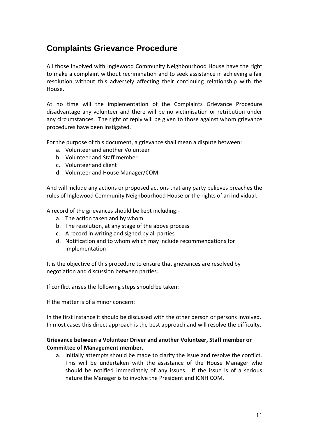## **Complaints Grievance Procedure**

All those involved with Inglewood Community Neighbourhood House have the right to make a complaint without recrimination and to seek assistance in achieving a fair resolution without this adversely affecting their continuing relationship with the House.

At no time will the implementation of the Complaints Grievance Procedure disadvantage any volunteer and there will be no victimisation or retribution under any circumstances. The right of reply will be given to those against whom grievance procedures have been instigated.

For the purpose of this document, a grievance shall mean a dispute between:

- a. Volunteer and another Volunteer
- b. Volunteer and Staff member
- c. Volunteer and client
- d. Volunteer and House Manager/COM

And will include any actions or proposed actions that any party believes breaches the rules of Inglewood Community Neighbourhood House or the rights of an individual.

A record of the grievances should be kept including:-

- a. The action taken and by whom
- b. The resolution, at any stage of the above process
- c. A record in writing and signed by all parties
- d. Notification and to whom which may include recommendations for implementation

It is the objective of this procedure to ensure that grievances are resolved by negotiation and discussion between parties.

If conflict arises the following steps should be taken:

If the matter is of a minor concern:

In the first instance it should be discussed with the other person or persons involved. In most cases this direct approach is the best approach and will resolve the difficulty.

#### **Grievance between a Volunteer Driver and another Volunteer, Staff member or Committee of Management member.**

a. Initially attempts should be made to clarify the issue and resolve the conflict. This will be undertaken with the assistance of the House Manager who should be notified immediately of any issues. If the issue is of a serious nature the Manager is to involve the President and ICNH COM.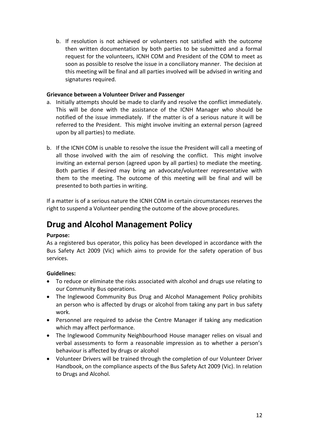b. If resolution is not achieved or volunteers not satisfied with the outcome then written documentation by both parties to be submitted and a formal request for the volunteers, ICNH COM and President of the COM to meet as soon as possible to resolve the issue in a conciliatory manner. The decision at this meeting will be final and all parties involved will be advised in writing and signatures required.

#### **Grievance between a Volunteer Driver and Passenger**

- a. Initially attempts should be made to clarify and resolve the conflict immediately. This will be done with the assistance of the ICNH Manager who should be notified of the issue immediately. If the matter is of a serious nature it will be referred to the President. This might involve inviting an external person (agreed upon by all parties) to mediate.
- b. If the ICNH COM is unable to resolve the issue the President will call a meeting of all those involved with the aim of resolving the conflict. This might involve inviting an external person (agreed upon by all parties) to mediate the meeting. Both parties if desired may bring an advocate/volunteer representative with them to the meeting. The outcome of this meeting will be final and will be presented to both parties in writing.

If a matter is of a serious nature the ICNH COM in certain circumstances reserves the right to suspend a Volunteer pending the outcome of the above procedures.

## **Drug and Alcohol Management Policy**

#### **Purpose:**

As a registered bus operator, this policy has been developed in accordance with the Bus Safety Act 2009 (Vic) which aims to provide for the safety operation of bus services.

#### **Guidelines:**

- To reduce or eliminate the risks associated with alcohol and drugs use relating to our Community Bus operations.
- The Inglewood Community Bus Drug and Alcohol Management Policy prohibits an person who is affected by drugs or alcohol from taking any part in bus safety work.
- Personnel are required to advise the Centre Manager if taking any medication which may affect performance.
- The Inglewood Community Neighbourhood House manager relies on visual and verbal assessments to form a reasonable impression as to whether a person's behaviour is affected by drugs or alcohol
- Volunteer Drivers will be trained through the completion of our Volunteer Driver Handbook, on the compliance aspects of the Bus Safety Act 2009 (Vic). In relation to Drugs and Alcohol.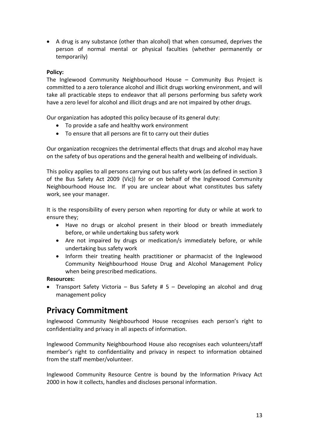A drug is any substance (other than alcohol) that when consumed, deprives the person of normal mental or physical faculties (whether permanently or temporarily)

#### **Policy:**

The Inglewood Community Neighbourhood House – Community Bus Project is committed to a zero tolerance alcohol and illicit drugs working environment, and will take all practicable steps to endeavor that all persons performing bus safety work have a zero level for alcohol and illicit drugs and are not impaired by other drugs.

Our organization has adopted this policy because of its general duty:

- To provide a safe and healthy work environment
- To ensure that all persons are fit to carry out their duties

Our organization recognizes the detrimental effects that drugs and alcohol may have on the safety of bus operations and the general health and wellbeing of individuals.

This policy applies to all persons carrying out bus safety work (as defined in section 3 of the Bus Safety Act 2009 (Vic)) for or on behalf of the Inglewood Community Neighbourhood House Inc. If you are unclear about what constitutes bus safety work, see your manager.

It is the responsibility of every person when reporting for duty or while at work to ensure they;

- Have no drugs or alcohol present in their blood or breath immediately before, or while undertaking bus safety work
- Are not impaired by drugs or medication/s immediately before, or while undertaking bus safety work
- Inform their treating health practitioner or pharmacist of the Inglewood Community Neighbourhood House Drug and Alcohol Management Policy when being prescribed medications.

#### **Resources:**

• Transport Safety Victoria – Bus Safety #  $5$  – Developing an alcohol and drug management policy

## **Privacy Commitment**

Inglewood Community Neighbourhood House recognises each person's right to confidentiality and privacy in all aspects of information.

Inglewood Community Neighbourhood House also recognises each volunteers/staff member's right to confidentiality and privacy in respect to information obtained from the staff member/volunteer.

Inglewood Community Resource Centre is bound by the Information Privacy Act 2000 in how it collects, handles and discloses personal information.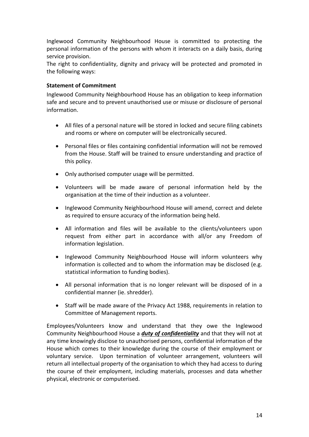Inglewood Community Neighbourhood House is committed to protecting the personal information of the persons with whom it interacts on a daily basis, during service provision.

The right to confidentiality, dignity and privacy will be protected and promoted in the following ways:

#### **Statement of Commitment**

Inglewood Community Neighbourhood House has an obligation to keep information safe and secure and to prevent unauthorised use or misuse or disclosure of personal information.

- All files of a personal nature will be stored in locked and secure filing cabinets and rooms or where on computer will be electronically secured.
- Personal files or files containing confidential information will not be removed from the House. Staff will be trained to ensure understanding and practice of this policy.
- Only authorised computer usage will be permitted.
- Volunteers will be made aware of personal information held by the organisation at the time of their induction as a volunteer.
- Inglewood Community Neighbourhood House will amend, correct and delete as required to ensure accuracy of the information being held.
- All information and files will be available to the clients/volunteers upon request from either part in accordance with all/or any Freedom of information legislation.
- Inglewood Community Neighbourhood House will inform volunteers why information is collected and to whom the information may be disclosed (e.g. statistical information to funding bodies).
- All personal information that is no longer relevant will be disposed of in a confidential manner (ie. shredder).
- Staff will be made aware of the Privacy Act 1988, requirements in relation to Committee of Management reports.

Employees/Volunteers know and understand that they owe the Inglewood Community Neighbourhood House a *duty of confidentiality* and that they will not at any time knowingly disclose to unauthorised persons, confidential information of the House which comes to their knowledge during the course of their employment or voluntary service. Upon termination of volunteer arrangement, volunteers will return all intellectual property of the organisation to which they had access to during the course of their employment, including materials, processes and data whether physical, electronic or computerised.